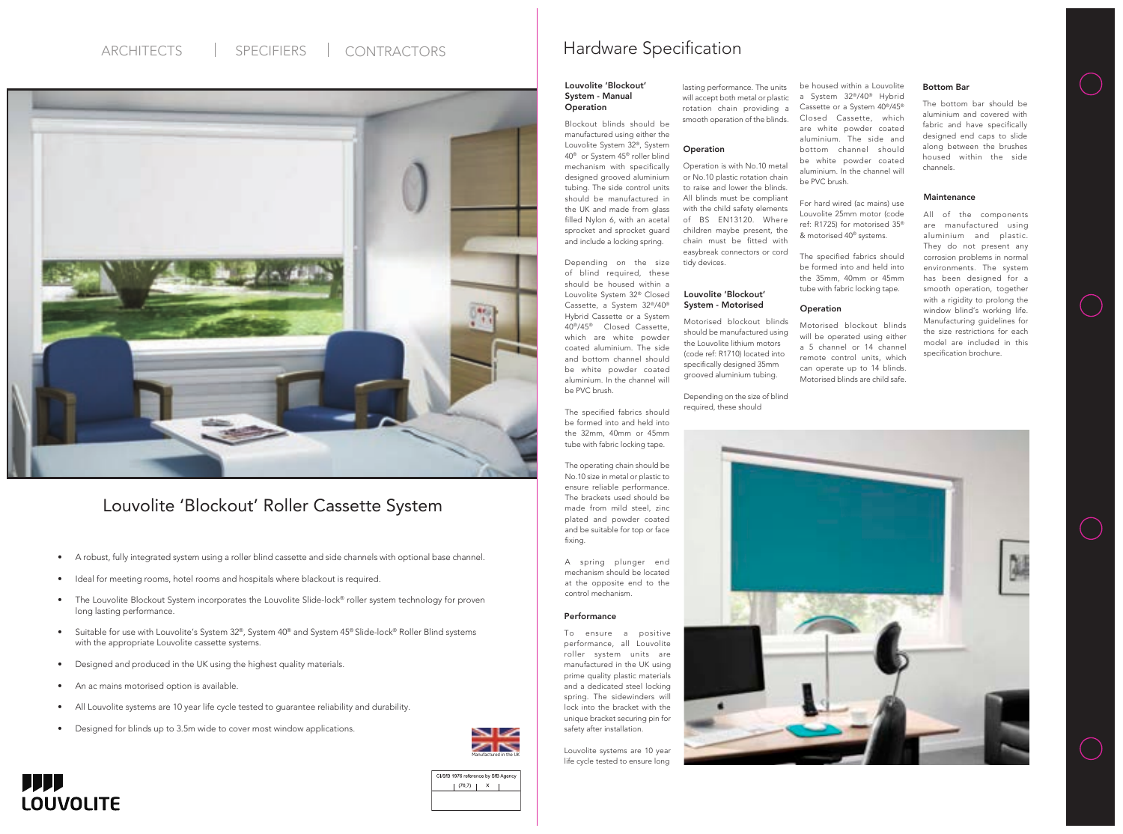#### Performance

To ensure a positive performance, all Louvolite roller system units are manufactured in the UK using prime quality plastic materials and a dedicated steel locking spring. The sidewinders will lock into the bracket with the unique bracket securing pin for safety after installation.

#### Louvolite 'Blockout' System - Manual **Operation**

Louvolite systems are 10 year life cycle tested to ensure long lasting performance. The units will accept both metal or plastic rotation chain providing a smooth operation of the blinds.

#### **Operation**



## ARCHITECTS | SPECIFIERS | CONTRACTORS | Hardware Specification



### Louvolite 'Blockout' Roller Cassette System

Blockout blinds should be manufactured using either the Louvolite System 32®, System 40® or System 45® roller blind mechanism with specifically designed grooved aluminium tubing. The side control units should be manufactured in the UK and made from glass filled Nylon 6, with an acetal sprocket and sprocket guard and include a locking spring.

Depending on the size of blind required, these should be housed within a Louvolite System 32® Closed Cassette, a System 32®/40® Hybrid Cassette or a System 40®/45® Closed Cassette, which are white powder coated aluminium. The side and bottom channel should be white powder coated aluminium. In the channel will be PVC brush.

The specified fabrics should be formed into and held into the 32mm, 40mm or 45mm tube with fabric locking tape.

The operating chain should be No.10 size in metal or plastic to ensure reliable performance. The brackets used should be made from mild steel, zinc plated and powder coated and be suitable for top or face fixing.

A spring plunger end mechanism should be located at the opposite end to the control mechanism.

### Louvolite 'Blockout' System - Motorised

Motorised blockout blinds should be manufactured using the Louvolite lithium motors (code ref: R1710) located into specifically designed 35mm grooved aluminium tubing.

Depending on the size of blind required, these should



For hard wired (ac mains) use Louvolite 25mm motor (code ref: R1725) for motorised 35® & motorised 40® systems.

The specified fabrics should be formed into and held into the 35mm, 40mm or 45mm tube with fabric locking tape.

#### **Operation**

Operation is with No.10 metal or No.10 plastic rotation chain to raise and lower the blinds. All blinds must be compliant with the child safety elements of BS EN13120. Where children maybe present, the chain must be fitted with easybreak connectors or cord tidy devices.

All of the components are manufactured using aluminium and plastic. They do not present any corrosion problems in normal environments. The system has been designed for a smooth operation, together with a rigidity to prolong the window blind's working life. Manufacturing guidelines for the size restrictions for each model are included in this specification brochure.

### Bottom Bar

The bottom bar should be aluminium and covered with fabric and have specifically designed end caps to slide along between the brushes housed within the side channels.

### **Maintenance**

- A robust, fully integrated system using a roller blind cassette and side channels with optional base channel.
- Ideal for meeting rooms, hotel rooms and hospitals where blackout is required.
- The Louvolite Blockout System incorporates the Louvolite Slide-lock® roller system technology for proven long lasting performance.
- Suitable for use with Louvolite's System 32®, System 40® and System 45® Slide-lock® Roller Blind systems with the appropriate Louvolite cassette systems.
- Designed and produced in the UK using the highest quality materials.
- An ac mains motorised option is available.

**JJJJ** 

**LOUVOLITE** 

- All Louvolite systems are 10 year life cycle tested to guarantee reliability and durability.
- Designed for blinds up to 3.5m wide to cover most window applications.

Motorised blockout blinds will be operated using either a 5 channel or 14 channel remote control units, which can operate up to 14 blinds. Motorised blinds are child safe.



CI/SfB 1976 reference by SfB Agency  $\begin{bmatrix} (76.7) & | & X \\ | & \end{bmatrix}$